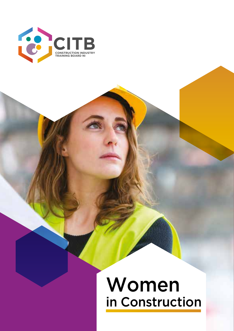

**CITY CONSTRUCTION TRAINING BOARD NI**

# Women in Construction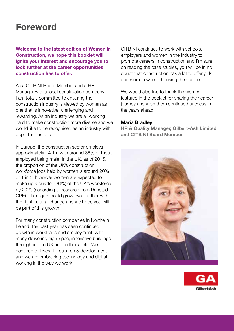## **Foreword**

Welcome to the latest edition of Women in Construction, we hope this booklet will ignite your interest and encourage you to look further at the career opportunities construction has to offer.

As a CITB NI Board Member and a HR Manager with a local construction company, I am totally committed to ensuring the construction industry is viewed by women as one that is innovative, challenging and rewarding. As an industry we are all working hard to make construction more diverse and we would like to be recognised as an industry with opportunities for all.

In Europe, the construction sector employs approximately 14.1m with around 88% of those employed being male. In the UK, as of 2015, the proportion of the UK's construction workforce jobs held by women is around 20% or 1 in 5, however women are expected to make up a quarter (26%) of the UK's workforce by 2020 (according to research from Ranstad CPE). This figure could grow even further with the right cultural change and we hope you will be part of this growth!

For many construction companies in Northern Ireland, the past year has seen continued growth in workloads and employment, with many delivering high-spec, innovative buildings throughout the UK and further afield. We continue to invest in research & development and we are embracing technology and digital working in the way we work.

CITB NI continues to work with schools, employers and women in the industry to promote careers in construction and I'm sure, on reading the case studies, you will be in no doubt that construction has a lot to offer girls and women when choosing their career.

We would also like to thank the women featured in the booklet for sharing their career journey and wish them continued success in the years ahead.

#### Maria Bradley

HR & Quality Manager, Gilbert-Ash Limited and CITB NI Board Member



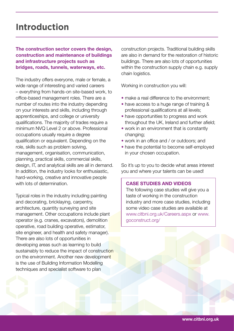## **Introduction**

#### The construction sector covers the design, construction and maintenance of buildings and infrastructure projects such as bridges, roads, tunnels, waterways, etc.

The industry offers everyone, male or female, a wide range of interesting and varied careers – everything from hands-on site-based work, to office-based management roles. There are a number of routes into the industry depending on your interests and skills, including through apprenticeships, and college or university qualifications. The majority of trades require a minimum NVQ Level 2 or above. Professional occupations usually require a degree qualification or equivalent. Depending on the role, skills such as problem solving, management, organisation, communication, planning, practical skills, commercial skills, design, IT, and analytical skills are all in demand. In addition, the industry looks for enthusiastic, hard-working, creative and innovative people with lots of determination.

Typical roles in the industry including painting and decorating, bricklaying, carpentry, architecture, quantity surveying and site management. Other occupations include plant operator (e.g. cranes, excavators), demolition operative, road building operative, estimator, site engineer, and health and safety manager). There are also lots of opportunities in developing areas such as learning to build sustainably to reduce the impact of construction on the environment. Another new development is the use of Building Information Modelling techniques and specialist software to plan

construction projects. Traditional building skills are also in demand for the restoration of historic buildings. There are also lots of opportunities within the construction supply chain e.g. supply chain logistics.

Working in construction you will:

- make a real difference to the environment;
- have access to a huge range of training & professional qualifications at all levels;
- have opportunities to progress and work throughout the UK, Ireland and further afield;
- work in an environment that is constantly changing;
- work in an office and / or outdoors; and
- have the potential to become self-employed in your chosen occupation.

So it's up to you to decide what areas interest you and where your talents can be used!

#### CASE STUDIES AND VIDEOS

The following case studies will give you a taste of working in the construction industry and more case studies, including some video case studies are available at www.citbni.org.uk/Careers.aspx or www. goconstruct.org/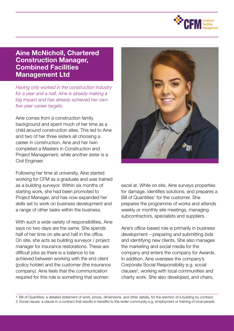

#### Aine McNicholl, Chartered Construction Manager, Combined Facilities Management Ltd

*Having only worked in the construction industry for a year and a half, Aine is already making a big impact and has already achieved her own five-year career targets.*

Aine comes from a construction family background and spent much of her time as a child around construction sites. This led to Aine and two of her three sisters all choosing a career in construction. Aine and her twin completed a Masters in Construction and Project Management, while another sister is a Civil Engineer.

Following her time at university, Aine started working for CFM as a graduate and was trained as a building surveyor. Within six months of starting work, she had been promoted to Project Manager, and has now expanded her skills set to work on business development and a range of other tasks within the business.

With such a wide variety of responsibilities, Aine says no two days are the same. She spends half of her time on site and half in the office. On site, she acts as building surveyor / project manager for insurance restorations. These are difficult jobs as there is a balance to be achieved between working with the end client (policy holder) and the customer (the insurance company). Aine feels that the communication required for this role is something that women



excel at. While on site, Aine surveys properties for damage, identifies solutions, and prepares a Bill of Quantities<sup>1</sup> for the customer. She prepares the programme of works and attends weekly or monthly site meetings, managing subcontractors, specialists and suppliers.

Aine's office-based role is primarily in business development – preparing and submitting bids and identifying new clients. She also manages the marketing and social media for the company and enters the company for Awards. In addition, Aine oversees the company's Corporate Social Responsibility e.g. social clauses<sup>2</sup>, working with local communities and charity work. She also developed, and chairs,

1 Bill of Quantities: a detailed statement of work, prices, dimensions, and other details, for the erection of a building by contract. 2 Social clause: a clause in a contract that results in benefits to the wider community e.g. employment or training of local people.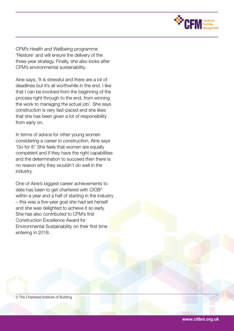

CFM's Health and Wellbeing programme 'Restore' and will ensure the delivery of the three-year strategy. Finally, she also looks after CFM's environmental sustainability.

Aine says, 'It is stressful and there are a lot of deadlines but it's all worthwhile in the end. I like that I can be involved from the beginning of the process right through to the end, from winning the work to managing the actual job'. She says construction is very fast-paced and she likes that she has been given a lot of responsibility from early on.

In terms of advice for other young women considering a career in construction, Aine says 'Go for it!' She feels that women are equally competent and if they have the right capabilities and the determination to succeed then there is no reason why they wouldn't do well in the industry.

One of Aine's biggest career achievements to date has been to get chartered with CIOB<sup>3</sup> within a year and a half of starting in the industry – this was a five-year goal she had set herself and she was delighted to achieve it so early. She has also contributed to CFM's first Construction Excellence Award for Environmental Sustainability on their first time entering in 2018.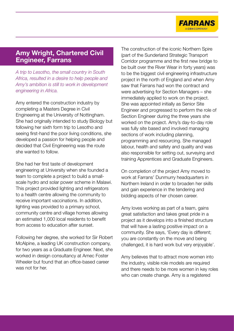### Amy Wright, Chartered Civil Engineer, Farrans

*A trip to Lesotho, the small country in South Africa, resulted in a desire to help people and Amy's ambition is still to work in development engineering in Africa.*

Amy entered the construction industry by completing a Masters Degree in Civil Engineering at the University of Nottingham. She had originally intended to study Biology but following her sixth form trip to Lesotho and seeing first-hand the poor living conditions, she developed a passion for helping people and decided that Civil Engineering was the route she wanted to follow.

She had her first taste of development engineering at University when she founded a team to complete a project to build a smallscale hydro and solar power scheme in Malawi. This project provided lighting and refrigerators to a health centre allowing the community to receive important vaccinations. In addition, lighting was provided to a primary school, community centre and village homes allowing an estimated 1,000 local residents to benefit from access to education after sunset.

Following her degree, she worked for Sir Robert McAlpine, a leading UK construction company, for two years as a Graduate Engineer. Next, she worked in design consultancy at Amec Foster Wheeler but found that an office-based career was not for her.

The construction of the iconic Northern Spire (part of the Sunderland Strategic Transport Corridor programme and the first new bridge to be built over the River Wear in forty years) was to be the biggest civil engineering infrastructure project in the north of England and when Amy saw that Farrans had won the contract and were advertising for Section Managers – she immediately applied to work on the project. She was appointed initially as Senior Site Engineer and progressed to perform the role of Section Engineer during the three years she worked on the project. Amy's day-to-day role was fully site based and involved managing sections of work including planning, programming and resourcing. She managed labour, health and safety and quality and was also responsible for setting out, surveying and training Apprentices and Graduate Engineers.

**FARRANS** CONCOMON

On completion of the project Amy moved to work at Farrans' Dunmurry headquarters in Northern Ireland in order to broaden her skills and gain experience in the tendering and bidding aspects of her chosen career.

Amy loves working as part of a team, gains great satisfaction and takes great pride in a project as it develops into a finished structure that will have a lasting positive impact on a community. She says, 'Every day is different; you are constantly on the move and being challenged, it is hard work but very enjoyable'.

Amy believes that to attract more women into the industry, visible role models are required and there needs to be more women in key roles who can create change. Amy is a registered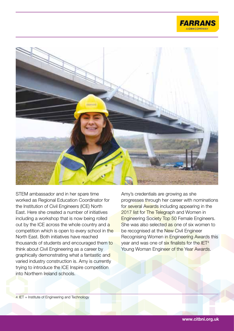



STEM ambassador and in her spare time worked as Regional Education Coordinator for the Institution of Civil Engineers (ICE) North East. Here she created a number of initiatives including a workshop that is now being rolled out by the ICE across the whole country and a competition which is open to every school in the North East. Both initiatives have reached thousands of students and encouraged them to think about Civil Engineering as a career by graphically demonstrating what a fantastic and varied industry construction is. Amy is currently trying to introduce the ICE Inspire competition into Northern Ireland schools.

Amy's credentials are growing as she progresses through her career with nominations for several Awards including appearing in the 2017 list for The Telegraph and Women in Engineering Society Top 50 Female Engineers. She was also selected as one of six women to be recognised at the New Civil Engineer Recognising Women in Engineering Awards this year and was one of six finalists for the IET<sup>4</sup> Young Woman Engineer of the Year Awards.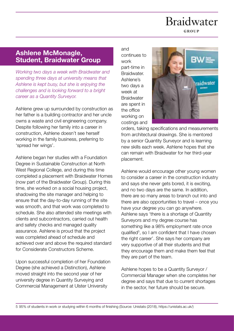# **Braidwater**

GROUP

### Ashlene McMonagle, Student, Braidwater Group

*Working two days a week with Braidwater and spending three days at university means that Ashlene is kept busy, but she is enjoying the challenges and is looking forward to a bright career as a Quantity Surveyor.*

Ashlene grew up surrounded by construction as her father is a building contractor and her uncle owns a waste and civil engineering company. Despite following her family into a career in construction, Ashlene doesn't see herself working in the family business, preferring to 'spread her wings'.

Ashlene began her studies with a Foundation Degree in Sustainable Construction at North West Regional College, and during this time completed a placement with Braidwater Homes (now part of the Braidwater Group). During this time, she worked on a social housing project. shadowing the site manager and helping to ensure that the day-to-day running of the site was smooth, and that work was completed to schedule. She also attended site meetings with clients and subcontractors, carried out health and safety checks and managed quality assurance. Ashlene is proud that the project was completed ahead of schedule and achieved over and above the required standard for Considerate Constructors Scheme.

Upon successful completion of her Foundation Degree (she achieved a Distinction), Ashlene moved straight into the second year of her university degree in Quantity Surveying and Commercial Management at Ulster University

and continues to work part-time in **Braidwater** Ashlene's two days a week at **Braidwater** are spent in the office working on costings and



orders, taking specifications and measurements from architectural drawings. She is mentored by a senior Quantity Surveyor and is learning new skills each week. Ashlene hopes that she can remain with Braidwater for her third-year placement.

Ashlene would encourage other young women to consider a career in the construction industry and says she never gets bored, it is exciting, and no two days are the same. In addition, there are so many areas to branch out into and there are also opportunities to travel – once you have your degree you can go anywhere. Ashlene says 'there is a shortage of Quantity Surveyors and my degree course has something like a 98% employment rate once qualified5 , so I am confident that I have chosen the right career'. She says her company are very supportive of all their students and that they encourage them and make them feel that they are part of the team.

Ashlene hopes to be a Quantity Surveyor / Commercial Manager when she completes her degree and says that due to current shortages in the sector, her future should be secure.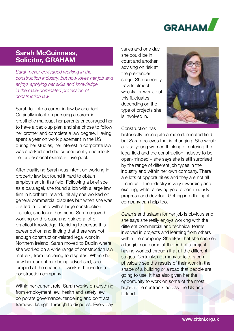

### Sarah McGuinness, Solicitor, GRAHAM

*Sarah never envisaged working in the construction industry, but now loves her job and enjoys applying her skills and knowledge in the male-dominated profession of construction law.*

Sarah fell into a career in law by accident. Originally intent on pursuing a career in prosthetic makeup, her parents encouraged her to have a back-up plan and she chose to follow her brother and complete a law degree. Having spent a year on work placement in the US during her studies, her interest in corporate law was sparked and she subsequently undertook her professional exams in Liverpool.

After qualifying Sarah was intent on working in property law but found it hard to obtain employment in this field. Following a brief spell as a paralegal, she found a job with a large law firm in Northern Ireland. Initially she worked on general commercial disputes but when she was drafted in to help with a large construction dispute, she found her niche. Sarah enjoyed working on this case and gained a lot of practical knowledge. Deciding to pursue this career option and finding that there was not enough construction-related legal work in Northern Ireland, Sarah moved to Dublin where she worked on a wide range of construction law matters, from tendering to disputes. When she saw her current role being advertised, she jumped at the chance to work in-house for a construction company.

Within her current role, Sarah works on anything from employment law, health and safety law. corporate governance, tendering and contract frameworks right through to disputes. Every day varies and one day she could be in court and another advising on risk at the pre-tender stage. She currently travels almost weekly for work, but this fluctuates depending on the type of projects she is involved in.

#### Construction has



historically been quite a male dominated field, but Sarah believes that is changing. She would advise young women thinking of entering the legal field and the construction industry to be open-minded – she says she is still surprised by the range of different job types in the industry and within her own company. There are lots of opportunities and they are not all technical. The industry is very rewarding and exciting, whilst allowing you to continuously progress and develop. Getting into the right company can help too.

Sarah's enthusiasm for her job is obvious and she says she really enjoys working with the different commercial and technical teams involved in projects and learning from others within the company. She likes that she can see a tangible outcome at the end of a project, having worked through it at all the different stages. Certainly, not many solicitors can physically see the results of their work in the shape of a building or a road that people are going to use. It has also given her the opportunity to work on some of the most high-profile contracts across the UK and Ireland.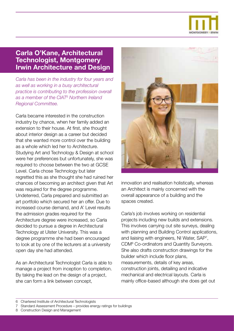

### Carla O'Kane, Architectural Technologist, Montgomery Irwin Architecture and Design

*Carla has been in the industry for four years and as well as working in a busy architectural practice is contributing to the profession overall as a member of the CIAT6 Northern Ireland Regional Committee.*

Carla became interested in the construction industry by chance, when her family added an extension to their house. At first, she thought about interior design as a career but decided that she wanted more control over the building as a whole which led her to Architecture. Studying Art and Technology & Design at school were her preferences but unfortunately, she was required to choose between the two at GCSE Level. Carla chose Technology but later regretted this as she thought she had ruined her chances of becoming an architect given that Art was required for the degree programme. Undeterred, Carla prepared and submitted an art portfolio which secured her an offer. Due to increased course demand, and A' Level results the admission grades required for the Architecture degree were increased, so Carla decided to pursue a degree in Architectural Technology at Ulster University. This was a degree programme she had been encouraged to look at by one of the lecturers at a university open day she had attended.

As an Architectural Technologist Carla is able to manage a project from inception to completion. By taking the lead on the design of a project, she can form a link between concept,



innovation and realisation holistically, whereas an Architect is mainly concerned with the overall appearance of a building and the spaces created.

Carla's job involves working on residential projects including new builds and extensions. This involves carrying out site surveys, dealing with planning and Building Control applications, and liaising with engineers, NI Water, SAP<sup>7</sup>, CDM8 Co-ordinators and Quantity Surveyors. She also drafts construction drawings for the builder which include floor plans, measurements, details of key areas, construction joints, detailing and indicative mechanical and electrical layouts. Carla is mainly office-based although she does get out

- 7 Standard Assessment Procedure provides energy ratings for buildings
- 8 Construction Design and Management

<sup>6</sup> Chartered Institute of Architectural Technologists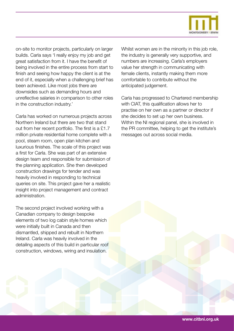

on-site to monitor projects, particularly on larger builds. Carla says 'I really enjoy my job and get great satisfaction from it. I have the benefit of being involved in the entire process from start to finish and seeing how happy the client is at the end of it, especially when a challenging brief has been achieved. Like most jobs there are downsides such as demanding hours and unreflective salaries in comparison to other roles in the construction industry.'

Carla has worked on numerous projects across Northern Ireland but there are two that stand out from her recent portfolio. The first is a £1.7 million private residential home complete with a pool, steam room, open plan kitchen and luxurious finishes. The scale of this project was a first for Carla. She was part of an extensive design team and responsible for submission of the planning application. She then developed construction drawings for tender and was heavily involved in responding to technical queries on site. This project gave her a realistic insight into project management and contract administration.

The second project involved working with a Canadian company to design bespoke elements of two log cabin style homes which were initially built in Canada and then dismantled, shipped and rebuilt in Northern Ireland. Carla was heavily involved in the detailing aspects of this build in particular roof construction, windows, wiring and insulation.

Whilst women are in the minority in this job role. the industry is generally very supportive, and numbers are increasing. Carla's employers value her strength in communicating with female clients, instantly making them more comfortable to contribute without the anticipated judgement.

Carla has progressed to Chartered membership with CIAT, this qualification allows her to practise on her own as a partner or director if she decides to set up her own business. Within the NI regional panel, she is involved in the PR committee, helping to get the institute's messages out across social media.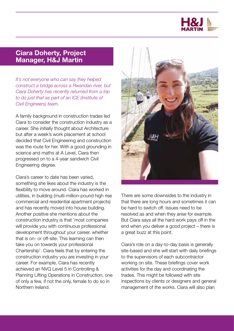

#### Ciara Doherty, Project Manager, H&J Martin

*It's not everyone who can say they helped construct a bridge across a Rwandan river, but Ciara Doherty has recently returned from a trip to do just that as part of an ICE (Institute of Civil Engineers) team.* 

A family background in construction trades led Ciara to consider the construction industry as a career. She initially thought about Architecture but after a week's work placement at school decided that Civil Engineering and construction was the route for her. With a good grounding in science and maths at A Level, Ciara then progressed on to a 4-year sandwich Civil Engineering degree.

Ciara's career to date has been varied, something she likes about the industry is the flexibility to move around. Ciara has worked in utilities, in building (multi-million-pound high rise commercial and residential apartment projects) and has recently moved into house building. Another positive she mentions about the construction industry is that 'most companies will provide you with continuous professional development throughout your career, whether that is on- or off-site. This learning can then take you on towards your professional Chartership'. Ciara feels that by entering the construction industry you are investing in your career. For example, Ciara has recently achieved an NVQ Level 5 in Controlling & Planning Lifting Operations in Construction, one of only a few, if not the only, female to do so in Northern Ireland.



There are some downsides to the industry in that there are long hours and sometimes it can be hard to switch off. Issues need to be resolved as and when they arise for example. But Ciara says all the hard work pays off in the end when you deliver a good project – there is a great buzz at this point.

Ciara's role on a day-to-day basis is generally site-based and she will start with daily briefings to the supervisors of each subcontractor working on site. These briefings cover work activities for the day and coordinating the trades. This might be followed with site inspections by clients or designers and general management of the works. Ciara will also plan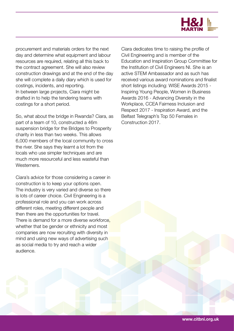

procurement and materials orders for the next day and determine what equipment and labour resources are required, relating all this back to the contract agreement. She will also review construction drawings and at the end of the day she will complete a daily diary which is used for costings, incidents, and reporting. In between large projects, Ciara might be drafted in to help the tendering teams with costings for a short period.

So, what about the bridge in Rwanda? Ciara, as part of a team of 10, constructed a 46m suspension bridge for the Bridges to Prosperity charity in less than two weeks. This allows 6,000 members of the local community to cross the river. She says they learnt a lot from the locals who use simpler techniques and are much more resourceful and less wasteful than **Westerners** 

Ciara's advice for those considering a career in construction is to keep your options open. The industry is very varied and diverse so there is lots of career choice. Civil Engineering is a professional role and you can work across different roles, meeting different people and then there are the opportunities for travel. There is demand for a more diverse workforce, whether that be gender or ethnicity and most companies are now recruiting with diversity in mind and using new ways of advertising such as social media to try and reach a wider audience.

Ciara dedicates time to raising the profile of Civil Engineering and is member of the Education and Inspiration Group Committee for the Institution of Civil Engineers NI. She is an active STEM Ambassador and as such has received various award nominations and finalist short listings including: WISE Awards 2015 - Inspiring Young People, Women in Business Awards 2016 - Advancing Diversity in the Workplace, CCEA Fairness Inclusion and Respect 2017 - Inspiration Award, and the Belfast Telegraph's Top 50 Females in Construction 2017.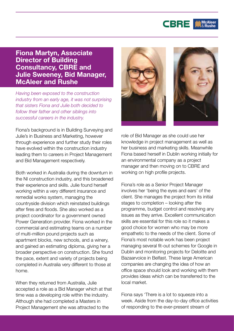

#### Fiona Martyn, Associate Director of Building Consultancy, CBRE and Julie Sweeney, Bid Manager, McAleer and Rushe

*Having been exposed to the construction industry from an early age, it was not surprising that sisters Fiona and Julie both decided to follow their father and other siblings into successful careers in the industry.* 

Fiona's background is in Building Surveying and Julie's in Business and Marketing, however through experience and further study their roles have evolved within the construction industry leading them to careers in Project Management and Bid Management respectively.

Both worked in Australia during the downturn in the NI construction industry, and this broadened their experience and skills. Julie found herself working within a very different insurance and remedial works system, managing the countryside division which reinstated buildings after fires and floods. She also worked as a project coordinator for a government owned Power Generation provider. Fiona worked in the commercial and estimating teams on a number of multi-million pound projects such as apartment blocks, new schools, and a winery, and gained an estimating diploma, giving her a broader perspective on construction. She found the pace, extent and variety of projects being completed in Australia very different to those at home.

When they returned from Australia, Julie accepted a role as a Bid Manager which at that time was a developing role within the industry. Although she had completed a Masters in Project Management she was attracted to the



role of Bid Manager as she could use her knowledge in project management as well as her business and marketing skills. Meanwhile Fiona based herself in Dublin working initially for an environmental company as a project manager and then moving on to CBRE and working on high profile projects.

Fiona's role as a Senior Project Manager involves her 'being the eyes and ears' of the client. She manages the project from its initial stages to completion – looking after the programme, budget control and resolving any issues as they arrive. Excellent communication skills are essential for this role so it makes a good choice for women who may be more empathetic to the needs of the client. Some of Fiona's most notable work has been project managing several fit-out schemes for Google in Dublin and monitoring projects for Deloitte and Bazaarvoice in Belfast. These large American companies are changing the idea of how an office space should look and working with them provides ideas which can be transferred to the local market.

Fiona says 'There is a lot to squeeze into a week. Aside from the day-to-day office activities of responding to the ever-present stream of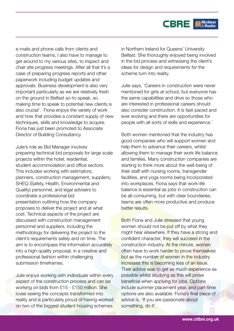

e-mails and phone calls from clients and construction teams, I also have to manage to get around to my various sites, to inspect and chair site progress meetings. After all that it's a case of preparing progress reports and other paperwork including budget updates and approvals. Business development is also very important particularly as we are relatively fresh on the ground in Belfast so-to-speak, so making time to speak to potential new clients is also crucial'. Fiona enjoys the variety of work and how that provides a constant supply of new techniques, skills and knowledge to acquire. Fiona has just been promoted to Associate Director of Building Consultancy.

Julie's role as Bid Manager involves preparing technical bid proposals for large scale projects within the hotel, residential, student accommodation and office sectors. This includes working with estimators, planners, construction management, suppliers, SHEQ (Safety, Health, Environmental and Quality) personnel, and legal advisers to coordinate a professional bid presentation outlining how the company proposes to deliver the project and at what cost. Technical aspects of the project are discussed with construction management personnel and suppliers, including the methodology for delivering the project to the client's requirements safely and on time. The aim is to encompass this information accurately into a high-quality proposal, in a creative and professional fashion within challenging submission timeframes.

Julie enjoys working with individuals within every aspect of the construction process and can be working on bids from £15 - £150 million. She loves seeing the concepts transformed into reality and is particularly proud of having worked on two of the biggest student housing schemes

in Northern Ireland for Queens' University Belfast. She thoroughly enjoyed being involved in the bid process and witnessing the client's ideas for design and requirements for the scheme turn into reality.

Julie says, 'Careers in construction were never mentioned for girls at school, but everyone has the same capabilities and drive so those who are interested in professional careers should also consider construction. It is fast-paced and ever evolving and there are opportunities for people with all sorts of skills and experience.'

Both women mentioned that the industry has good companies who will support women and help them to advance their careers, whilst allowing them to manage their work life balance and families. Many construction companies are starting to think more about the well-being of their staff with nursing rooms, transgender facilities, and yoga rooms being incorporated into workplaces. Fiona says that work-life balance is essential as jobs in construction can be all-consuming, but with clear boundaries, teams are often more productive and produce better results.

**Both Fiona and Julie stressed that young** women should not be put off by what they might hear elsewhere. If they have a strong and confident character, they will succeed in the construction industry. At the minute, women often have to work harder to prove themselves but as the number of women in the industry increases this is becoming less of an issue. Their advice was to get as much experience as possible whilst studying as this will prove beneficial when applying for jobs. Options include summer placement year, and part-time options are also available. Fiona's final piece of advice is, 'If you are passionate about something, do it'.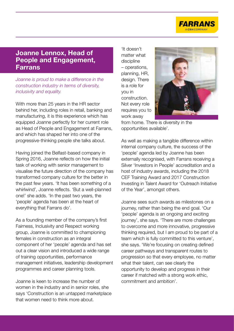

### Joanne Lennox, Head of People and Engagement, Farrans

*Joanne is proud to make a difference in the construction industry in terms of diversity, inclusivity and equality.*

With more than 25 years in the HR sector behind her, including roles in retail, banking and manufacturing, it is this experience which has equipped Joanne perfectly for her current role as Head of People and Engagement at Farrans, and which has shaped her into one of the progressive-thinking people she talks about.

Having joined the Belfast-based company in Spring 2016, Joanne reflects on how the initial task of working with senior management to visualise the future direction of the company has transformed company culture for the better in the past few years. 'It has been something of a whirlwind', Joanne reflects. 'But a well-planned one!' she adds. 'In the past two years, the 'people' agenda has been at the heart of everything that Farrans do'.

As a founding member of the company's first Fairness, Inclusivity and Respect working group, Joanne is committed to championing females in construction as an integral component of her 'people' agenda and has set out a clear vision and introduced a wide range of training opportunities, performance management initiatives, leadership development programmes and career planning tools.

Joanne is keen to increase the number of women in the industry and in senior roles, she says 'Construction is an untapped marketplace that women need to think more about.

'It doesn't matter what discipline – operations, planning, HR, design. There is a role for you in construction. Not every role requires you to work away



from home. There is diversity in the opportunities available'.

As well as making a tangible difference within internal company culture, the success of the 'people' agenda led by Joanne has been externally recognised, with Farrans receiving a Silver 'Investors in People' accreditation and a host of industry awards, including the 2018 CEF Training Award and 2017 Construction Investing in Talent Award for 'Outreach Initiative of the Year', amongst others.

Joanne sees such awards as milestones on a journey, rather than being the end goal. 'Our 'people' agenda is an ongoing and exciting journey', she says. 'There are more challenges to overcome and more innovative, progressive thinking required, but I am proud to be part of a team which is fully committed to this venture', she says. 'We're focusing on creating defined career pathways and transparent routes to progression so that every employee, no matter what their talent, can see clearly the opportunity to develop and progress in their career if matched with a strong work ethic, commitment and ambition'.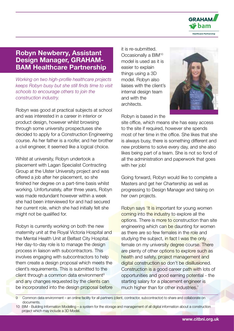

#### Robyn Newberry, Assistant Design Manager, GRAHAM-BAM Healthcare Partnership

*Working on two high-profile healthcare projects keeps Robyn busy but she still finds time to visit schools to encourage others to join the construction industry.*

Robyn was good at practical subjects at school and was interested in a career in interior or product design, however whilst browsing through some university prospectuses she decided to apply for a Construction Engineering course. As her father is a roofer, and her brother a civil engineer, it seemed like a logical choice.

Whilst at university, Robyn undertook a placement with Lagan Specialist Contracting Group at the Ulster University project and was offered a job after her placement, so she finished her degree on a part-time basis whilst working. Unfortunately, after three years, Robyn was made redundant however within a week she had been interviewed for and had secured her current role, which she had initially felt she might not be qualified for.

Robyn is currently working on both the new maternity unit at the Royal Victoria Hospital and the Mental Health Unit at Belfast City Hospital. Her day-to-day role is to manage the design process in liaison with subcontractors. This involves engaging with subcontractors to help them create a design proposal which meets the client's requirements. This is submitted to the  $\alpha$ client through a common data environment<sup>9</sup> and any changes requested by the clients can be incorporated into the design proposal before it is re-submitted. Occasionally a BIM10 model is used as it is easier to explain things using a 3D model. Robyn also liaises with the client's internal design team and with the architects.



site office, which means she has easy access to the site if required, however she spends most of her time in the office. She likes that she is always busy, there is something different and new problems to solve every day, and she also likes being part of a team. She is not so fond of all the administration and paperwork that goes with her job!

Going forward, Robyn would like to complete a Masters and get her Chartership as well as progressing to Design Manager and taking on her own projects.

Robyn says 'It is important for young women coming into the industry to explore all the options. There is more to construction than site engineering which can be daunting for women as there are so few females in the role and studying the subject, in fact I was the only female on my university degree course. There are plenty of other options to explore such as health and safety, project management and digital construction so don't be disillusioned. Construction is a good career path with lots of opportunities and good earning potential - the starting salary for a placement engineer is much higher than for other industries.'

10 BIM - Building Information Modelling - a system for the storage and management of all digital information about a construction project which may include a 3D Model.

<sup>9</sup> Common data environment – an online facility for all partners (client, contractor, subcontractor) to share and collaborate on documents.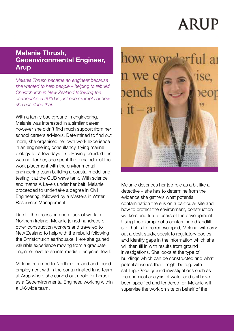# **ARUP**

### Melanie Thrush, Geoenvironmental Engineer, Arup

*Melanie Thrush became an engineer because she wanted to help people – helping to rebuild Christchurch in New Zealand following the earthquake in 2010 is just one example of how she has done that.*

With a family background in engineering, Melanie was interested in a similar career, however she didn't find much support from her school careers advisors. Determined to find out more, she organised her own work experience in an engineering consultancy, trying marine biology for a few days first. Having decided this was not for her, she spent the remainder of the work placement with the environmental engineering team building a coastal model and testing it at the QUB wave tank. With science and maths A Levels under her belt, Melanie proceeded to undertake a degree in Civil Engineering, followed by a Masters in Water Resources Management.

Due to the recession and a lack of work in Northern Ireland, Melanie joined hundreds of other construction workers and travelled to New Zealand to help with the rebuild following the Christchurch earthquake. Here she gained valuable experience moving from a graduate engineer level to an intermediate engineer level.

Melanie returned to Northern Ireland and found employment within the contaminated land team at Arup where she carved out a role for herself as a Geoenvironmental Engineer, working within a UK-wide team.



Melanie describes her job role as a bit like a detective – she has to determine from the evidence she gathers what potential contamination there is on a particular site and how to protect the environment, construction workers and future users of the development. Using the example of a contaminated landfill site that is to be redeveloped, Melanie will carry out a desk study, speak to regulatory bodies and identify gaps in the information which she will then fill in with results from ground investigations. She looks at the type of buildings which can be constructed and what potential issues there might be e.g. with settling. Once ground investigations such as the chemical analysis of water and soil have been specified and tendered for, Melanie will supervise the work on site on behalf of the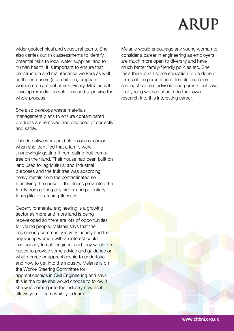# **ARUP**

wider geotechnical and structural teams. She also carries out risk assessments to identify potential risks to local water supplies, and to human health. It is important to ensure that construction and maintenance workers as well as the end users (e.g. children, pregnant women etc,) are not at risk. Finally, Melanie will develop remediation solutions and supervise the whole process.

She also develops waste materials management plans to ensure contaminated products are removed and disposed of correctly and safely.

This detective work paid off on one occasion when she identified that a family were unknowingly getting ill from eating fruit from a tree on their land. Their house had been built on land used for agricultural and industrial purposes and the fruit tree was absorbing heavy metals from the contaminated soil. Identifying the cause of the illness prevented the family from getting any sicker and potentially facing life-threatening illnesses.

Geoenvironmental engineering is a growing sector as more and more land is being redeveloped so there are lots of opportunities for young people. Melanie says that the engineering community is very friendly and that any young woman with an interest could contact any female engineer and they would be happy to provide some advice and quidance on what degree or apprenticeship to undertake and how to get into the industry. Melanie is on the Work+ Steering Committee for apprenticeships in Civil Engineering and says this is the route she would choose to follow if she was coming into the industry now as it allows you to earn while you learn.

Melanie would encourage any young woman to consider a career in engineering as employers are much more open to diversity and have much better family-friendly policies etc. She feels there is still some education to be done in terms of the perception of female engineers amongst careers advisors and parents but says that young women should do their own research into this interesting career.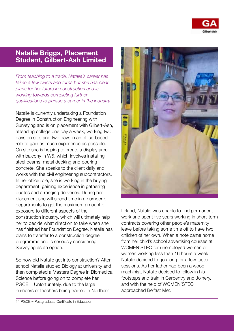

### Natalie Briggs, Placement Student, Gilbert-Ash Limited

*From teaching to a trade, Natalie's career has taken a few twists and turns but she has clear plans for her future in construction and is working towards completing further qualifications to pursue a career in the industry.*

Natalie is currently undertaking a Foundation Degree in Construction Engineering with Surveying and is on placement with Gilbert-Ash, attending college one day a week, working two days on site, and two days in an office-based role to gain as much experience as possible. On site she is helping to create a display area with balcony in W5, which involves installing steel beams, metal decking and pouring concrete. She speaks to the client daily and works with the civil engineering subcontractors. In her office role, she is working in the buying department, gaining experience in gathering quotes and arranging deliveries. During her placement she will spend time in a number of departments to get the maximum amount of exposure to different aspects of the construction industry, which will ultimately help her to decide what direction to take when she has finished her Foundation Degree. Natalie has plans to transfer to a construction degree programme and is seriously considering Surveying as an option.

So how did Natalie get into construction? After school Natalie studied Biology at university and then completed a Masters Degree in Biomedical Science before going on to complete her PGCE11. Unfortunately, due to the large numbers of teachers being trained in Northern



Ireland, Natalie was unable to find permanent work and spent five years working in short-term contracts covering other people's maternity leave before taking some time off to have two children of her own. When a note came home from her child's school advertising courses at WOMEN'STEC for unemployed women or women working less than 16 hours a week, Natalie decided to go along for a few taster sessions. As her father had been a wood machinist, Natalie decided to follow in his footsteps and train in Carpentry and Joinery, and with the help of WOMEN'STEC approached Belfast Met.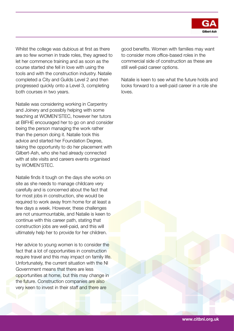

Whilst the college was dubious at first as there are so few women in trade roles, they agreed to let her commence training and as soon as the course started she fell in love with using the tools and with the construction industry. Natalie completed a City and Guilds Level 2 and then progressed quickly onto a Level 3, completing both courses in two years.

Natalie was considering working in Carpentry and Joinery and possibly helping with some teaching at WOMEN'STEC, however her tutors at BIFHE encouraged her to go on and consider being the person managing the work rather than the person doing it. Natalie took this advice and started her Foundation Degree, taking the opportunity to do her placement with Gilbert-Ash, who she had already connected with at site visits and careers events organised by WOMEN'STEC.

Natalie finds it tough on the days she works on site as she needs to manage childcare very carefully and is concerned about the fact that for most jobs in construction, she would be required to work away from home for at least a few days a week. However, these challenges are not unsurmountable, and Natalie is keen to continue with this career path, stating that construction jobs are well-paid, and this will ultimately help her to provide for her children.

Her advice to young women is to consider the fact that a lot of opportunities in construction require travel and this may impact on family life. Unfortunately, the current situation with the NI Government means that there are less opportunities at home, but this may change in the future. Construction companies are also very keen to invest in their staff and there are

good benefits. Women with families may want to consider more office-based roles in the commercial side of construction as these are still well-paid career options.

Natalie is keen to see what the future holds and looks forward to a well-paid career in a role she loves.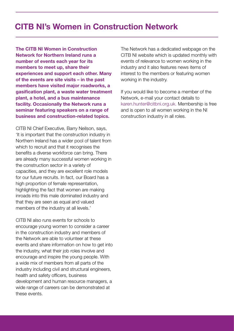## CITB NI's Women in Construction Network

The CITB NI Women in Construction Network for Northern Ireland runs a number of events each year for its members to meet up, share their experiences and support each other. Many of the events are site visits – in the past members have visited major roadworks, a gasification plant, a waste water treatment plant, a hotel, and a bus maintenance facility. Occasionally the Network runs a seminar featuring speakers on a range of business and construction-related topics.

CITB NI Chief Executive, Barry Neilson, says, 'It is important that the construction industry in Northern Ireland has a wider pool of talent from which to recruit and that it recognises the benefits a diverse workforce can bring. There are already many successful women working in the construction sector in a variety of capacities, and they are excellent role models for our future recruits. In fact, our Board has a high proportion of female representation, highlighting the fact that women are making inroads into this male dominated industry and that they are seen as equal and valued members of the industry at all levels.'

CITB NI also runs events for schools to encourage young women to consider a career in the construction industry and members of the Network are able to volunteer at these events and share information on how to get into the industry, what their job roles involve and encourage and inspire the young people. With a wide mix of members from all parts of the industry including civil and structural engineers, health and safety officers, business development and human resource managers, a wide range of careers can be demonstrated at these events.

The Network has a dedicated webpage on the CITB NI website which is updated monthly with events of relevance to women working in the industry and it also features news items of interest to the members or featuring women working in the industry.

If you would like to become a member of the Network, e-mail your contact details to karen.hunter@citbni.org.uk. Membership is free and is open to all women working in the NI construction industry in all roles.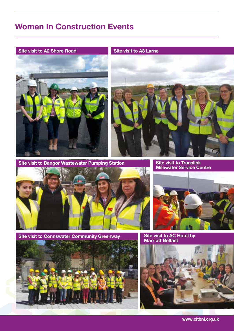## Women In Construction Events



**Site visit to Connswater Community Greenway** 





Site visit to AC Hotel by Marriott Belfast



www.citbni.org.uk